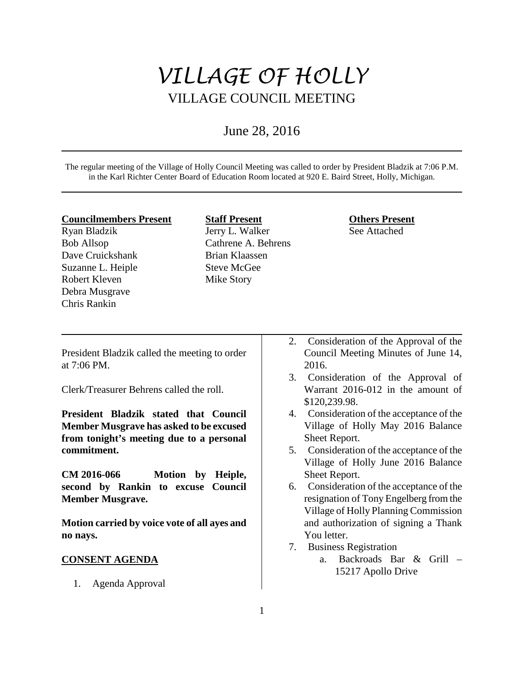# *VILLAGE OF HOLLY* VILLAGE COUNCIL MEETING

## June 28, 2016

The regular meeting of the Village of Holly Council Meeting was called to order by President Bladzik at 7:06 P.M. in the Karl Richter Center Board of Education Room located at 920 E. Baird Street, Holly, Michigan.

#### **Councilmembers Present**

Ryan Bladzik Bob Allsop Dave Cruickshank Suzanne L. Heiple Robert Kleven Debra Musgrave Chris Rankin

**Staff Present** Jerry L. Walker Cathrene A. Behrens Brian Klaassen Steve McGee Mike Story

#### **Others Present** See Attached

President Bladzik called the meeting to order at 7:06 PM.

Clerk/Treasurer Behrens called the roll.

**President Bladzik stated that Council Member Musgrave has asked to be excused from tonight's meeting due to a personal commitment.** 

**CM 2016-066 Motion by Heiple, second by Rankin to excuse Council Member Musgrave.**

**Motion carried by voice vote of all ayes and no nays.** 

## **CONSENT AGENDA**

1. Agenda Approval

- 2. Consideration of the Approval of the Council Meeting Minutes of June 14, 2016.
- 3. Consideration of the Approval of Warrant 2016-012 in the amount of \$120,239.98.
- 4. Consideration of the acceptance of the Village of Holly May 2016 Balance Sheet Report.
- 5. Consideration of the acceptance of the Village of Holly June 2016 Balance Sheet Report.
- 6. Consideration of the acceptance of the resignation of Tony Engelberg from the Village of Holly Planning Commission and authorization of signing a Thank You letter.
- 7. Business Registration
	- a. Backroads Bar & Grill 15217 Apollo Drive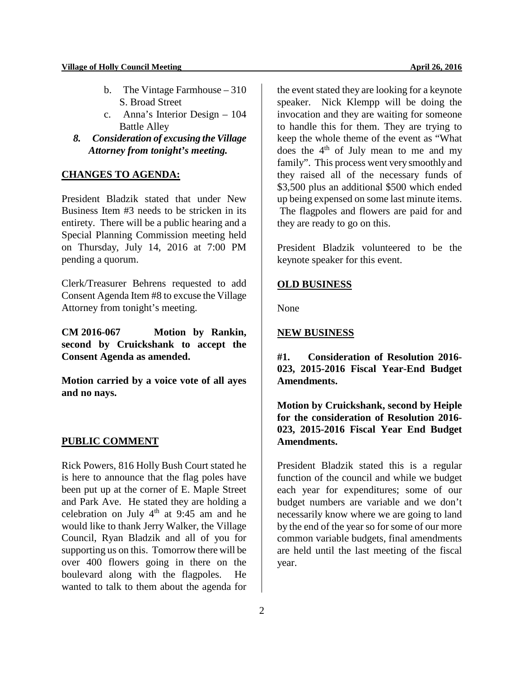- b. The Vintage Farmhouse 310 S. Broad Street
- c. Anna's Interior Design 104 Battle Alley
- *8. Consideration of excusing the Village Attorney from tonight's meeting.*

## **CHANGES TO AGENDA:**

President Bladzik stated that under New Business Item #3 needs to be stricken in its entirety. There will be a public hearing and a Special Planning Commission meeting held on Thursday, July 14, 2016 at 7:00 PM pending a quorum.

Clerk/Treasurer Behrens requested to add Consent Agenda Item #8 to excuse the Village Attorney from tonight's meeting.

**CM 2016-067 Motion by Rankin, second by Cruickshank to accept the Consent Agenda as amended.** 

**Motion carried by a voice vote of all ayes and no nays.** 

#### **PUBLIC COMMENT**

Rick Powers, 816 Holly Bush Court stated he is here to announce that the flag poles have been put up at the corner of E. Maple Street and Park Ave. He stated they are holding a celebration on July  $4<sup>th</sup>$  at 9:45 am and he would like to thank Jerry Walker, the Village Council, Ryan Bladzik and all of you for supporting us on this. Tomorrow there will be over 400 flowers going in there on the boulevard along with the flagpoles. He wanted to talk to them about the agenda for

the event stated they are looking for a keynote speaker. Nick Klempp will be doing the invocation and they are waiting for someone to handle this for them. They are trying to keep the whole theme of the event as "What does the  $4<sup>th</sup>$  of July mean to me and my family". This process went very smoothly and they raised all of the necessary funds of \$3,500 plus an additional \$500 which ended up being expensed on some last minute items. The flagpoles and flowers are paid for and they are ready to go on this.

President Bladzik volunteered to be the keynote speaker for this event.

#### **OLD BUSINESS**

None

#### **NEW BUSINESS**

**#1. Consideration of Resolution 2016- 023, 2015-2016 Fiscal Year-End Budget Amendments.** 

**Motion by Cruickshank, second by Heiple for the consideration of Resolution 2016- 023, 2015-2016 Fiscal Year End Budget Amendments.** 

President Bladzik stated this is a regular function of the council and while we budget each year for expenditures; some of our budget numbers are variable and we don't necessarily know where we are going to land by the end of the year so for some of our more common variable budgets, final amendments are held until the last meeting of the fiscal year.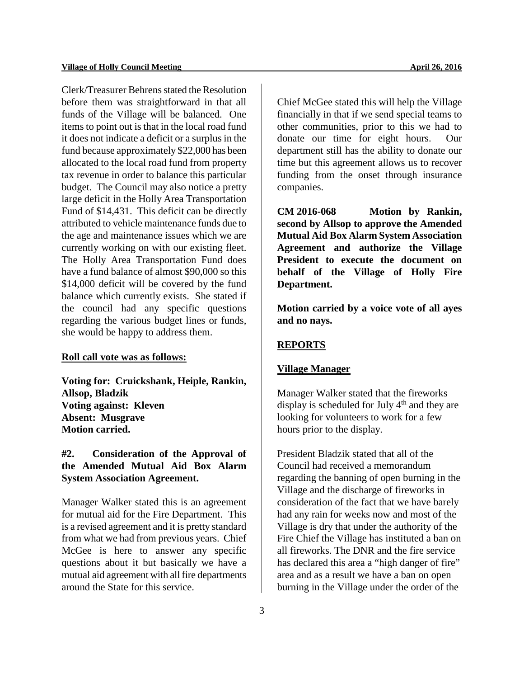Clerk/Treasurer Behrens stated the Resolution before them was straightforward in that all funds of the Village will be balanced. One items to point out is that in the local road fund it does not indicate a deficit or a surplus in the fund because approximately \$22,000 has been allocated to the local road fund from property tax revenue in order to balance this particular budget. The Council may also notice a pretty large deficit in the Holly Area Transportation Fund of \$14,431. This deficit can be directly attributed to vehicle maintenance funds due to the age and maintenance issues which we are currently working on with our existing fleet. The Holly Area Transportation Fund does have a fund balance of almost \$90,000 so this \$14,000 deficit will be covered by the fund balance which currently exists. She stated if the council had any specific questions regarding the various budget lines or funds, she would be happy to address them.

#### **Roll call vote was as follows:**

**Voting for: Cruickshank, Heiple, Rankin, Allsop, Bladzik Voting against: Kleven Absent: Musgrave Motion carried.**

## **#2. Consideration of the Approval of the Amended Mutual Aid Box Alarm System Association Agreement.**

Manager Walker stated this is an agreement for mutual aid for the Fire Department. This is a revised agreement and it is pretty standard from what we had from previous years. Chief McGee is here to answer any specific questions about it but basically we have a mutual aid agreement with all fire departments around the State for this service.

Chief McGee stated this will help the Village financially in that if we send special teams to other communities, prior to this we had to donate our time for eight hours. Our department still has the ability to donate our time but this agreement allows us to recover funding from the onset through insurance companies.

**CM 2016-068 Motion by Rankin, second by Allsop to approve the Amended Mutual Aid Box Alarm System Association Agreement and authorize the Village President to execute the document on behalf of the Village of Holly Fire Department.**

**Motion carried by a voice vote of all ayes and no nays.** 

## **REPORTS**

#### **Village Manager**

Manager Walker stated that the fireworks display is scheduled for July  $4<sup>th</sup>$  and they are looking for volunteers to work for a few hours prior to the display.

President Bladzik stated that all of the Council had received a memorandum regarding the banning of open burning in the Village and the discharge of fireworks in consideration of the fact that we have barely had any rain for weeks now and most of the Village is dry that under the authority of the Fire Chief the Village has instituted a ban on all fireworks. The DNR and the fire service has declared this area a "high danger of fire" area and as a result we have a ban on open burning in the Village under the order of the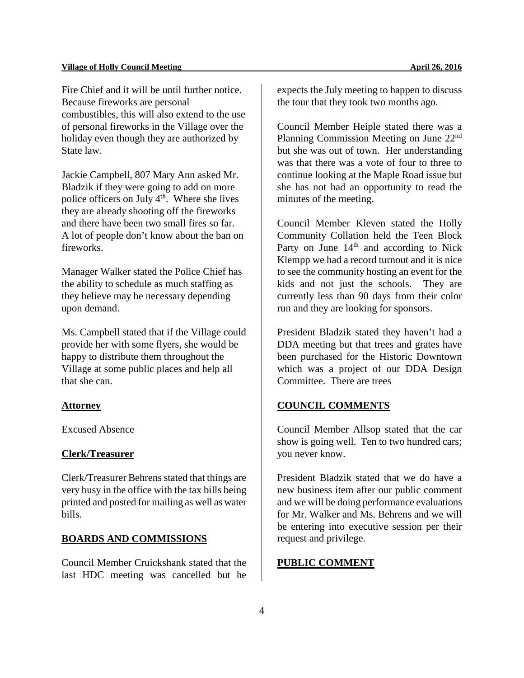Fire Chief and it will be until further notice. Because fireworks are personal combustibles, this will also extend to the use of personal fireworks in the Village over the holiday even though they are authorized by State law.

Jackie Campbell, 807 Mary Ann asked Mr. Bladzik if they were going to add on more police officers on July  $4<sup>th</sup>$ . Where she lives they are already shooting off the fireworks and there have been two small fires so far. A lot of people don't know about the ban on fireworks.

Manager Walker stated the Police Chief has the ability to schedule as much staffing as they believe may be necessary depending upon demand.

Ms. Campbell stated that if the Village could provide her with some flyers, she would be happy to distribute them throughout the Village at some public places and help all that she can.

#### **Attorney**

Excused Absence

## **Clerk/Treasurer**

Clerk/Treasurer Behrens stated that things are very busy in the office with the tax bills being printed and posted for mailing as well as water bills.

## **BOARDS AND COMMISSIONS**

Council Member Cruickshank stated that the last HDC meeting was cancelled but he

expects the July meeting to happen to discuss the tour that they took two months ago.

Council Member Heiple stated there was a Planning Commission Meeting on June 22nd but she was out of town. Her understanding was that there was a vote of four to three to continue looking at the Maple Road issue but she has not had an opportunity to read the minutes of the meeting.

Council Member Kleven stated the Holly Community Collation held the Teen Block Party on June  $14<sup>th</sup>$  and according to Nick Klempp we had a record turnout and it is nice to see the community hosting an event for the kids and not just the schools. They are currently less than 90 days from their color run and they are looking for sponsors.

President Bladzik stated they haven't had a DDA meeting but that trees and grates have been purchased for the Historic Downtown which was a project of our DDA Design Committee. There are trees

## **COUNCIL COMMENTS**

Council Member Allsop stated that the car show is going well. Ten to two hundred cars; you never know.

President Bladzik stated that we do have a new business item after our public comment and we will be doing performance evaluations for Mr. Walker and Ms. Behrens and we will be entering into executive session per their request and privilege.

#### **PUBLIC COMMENT**